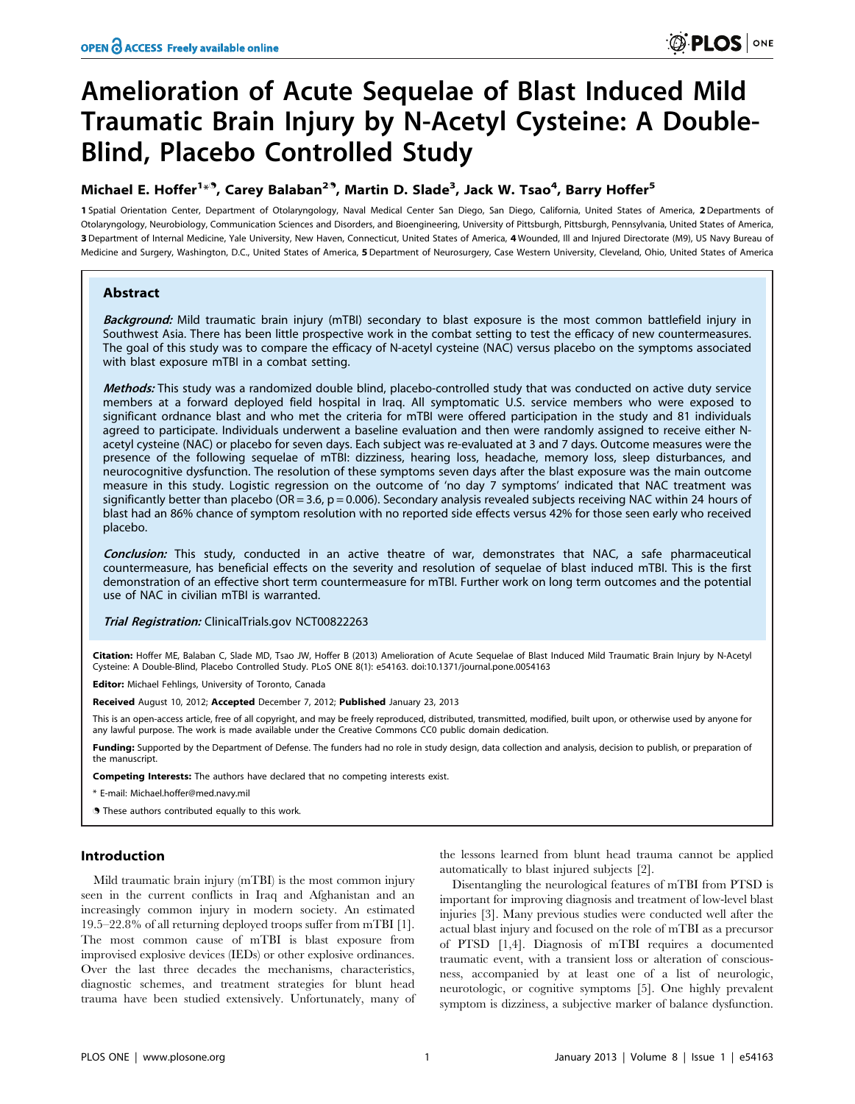# Amelioration of Acute Sequelae of Blast Induced Mild Traumatic Brain Injury by N-Acetyl Cysteine: A Double-Blind, Placebo Controlled Study

# Michael E. Hoffer<sup>1\*</sup>, Carey Balaban<sup>29</sup>, Martin D. Slade<sup>3</sup>, Jack W. Tsao<sup>4</sup>, Barry Hoffer<sup>5</sup>

1 Spatial Orientation Center, Department of Otolaryngology, Naval Medical Center San Diego, San Diego, California, United States of America, 2 Departments of Otolaryngology, Neurobiology, Communication Sciences and Disorders, and Bioengineering, University of Pittsburgh, Pittsburgh, Pennsylvania, United States of America, 3 Department of Internal Medicine, Yale University, New Haven, Connecticut, United States of America, 4 Wounded, Ill and Injured Directorate (M9), US Navy Bureau of Medicine and Surgery, Washington, D.C., United States of America, 5 Department of Neurosurgery, Case Western University, Cleveland, Ohio, United States of America

# Abstract

Background: Mild traumatic brain injury (mTBI) secondary to blast exposure is the most common battlefield injury in Southwest Asia. There has been little prospective work in the combat setting to test the efficacy of new countermeasures. The goal of this study was to compare the efficacy of N-acetyl cysteine (NAC) versus placebo on the symptoms associated with blast exposure mTBI in a combat setting.

Methods: This study was a randomized double blind, placebo-controlled study that was conducted on active duty service members at a forward deployed field hospital in Iraq. All symptomatic U.S. service members who were exposed to significant ordnance blast and who met the criteria for mTBI were offered participation in the study and 81 individuals agreed to participate. Individuals underwent a baseline evaluation and then were randomly assigned to receive either Nacetyl cysteine (NAC) or placebo for seven days. Each subject was re-evaluated at 3 and 7 days. Outcome measures were the presence of the following sequelae of mTBI: dizziness, hearing loss, headache, memory loss, sleep disturbances, and neurocognitive dysfunction. The resolution of these symptoms seven days after the blast exposure was the main outcome measure in this study. Logistic regression on the outcome of 'no day 7 symptoms' indicated that NAC treatment was significantly better than placebo (OR = 3.6,  $p = 0.006$ ). Secondary analysis revealed subjects receiving NAC within 24 hours of blast had an 86% chance of symptom resolution with no reported side effects versus 42% for those seen early who received placebo.

Conclusion: This study, conducted in an active theatre of war, demonstrates that NAC, a safe pharmaceutical countermeasure, has beneficial effects on the severity and resolution of sequelae of blast induced mTBI. This is the first demonstration of an effective short term countermeasure for mTBI. Further work on long term outcomes and the potential use of NAC in civilian mTBI is warranted.

#### Trial Registration: ClinicalTrials.gov NCT00822263

Citation: Hoffer ME, Balaban C, Slade MD, Tsao JW, Hoffer B (2013) Amelioration of Acute Sequelae of Blast Induced Mild Traumatic Brain Injury by N-Acetyl Cysteine: A Double-Blind, Placebo Controlled Study. PLoS ONE 8(1): e54163. doi:10.1371/journal.pone.0054163

Editor: Michael Fehlings, University of Toronto, Canada

Received August 10, 2012; Accepted December 7, 2012; Published January 23, 2013

This is an open-access article, free of all copyright, and may be freely reproduced, distributed, transmitted, modified, built upon, or otherwise used by anyone for any lawful purpose. The work is made available under the Creative Commons CC0 public domain dedication.

Funding: Supported by the Department of Defense. The funders had no role in study design, data collection and analysis, decision to publish, or preparation of the manuscript.

Competing Interests: The authors have declared that no competing interests exist.

\* E-mail: Michael.hoffer@med.navy.mil

. These authors contributed equally to this work.

# Introduction

Mild traumatic brain injury (mTBI) is the most common injury seen in the current conflicts in Iraq and Afghanistan and an increasingly common injury in modern society. An estimated 19.5–22.8% of all returning deployed troops suffer from mTBI [1]. The most common cause of mTBI is blast exposure from improvised explosive devices (IEDs) or other explosive ordinances. Over the last three decades the mechanisms, characteristics, diagnostic schemes, and treatment strategies for blunt head trauma have been studied extensively. Unfortunately, many of

the lessons learned from blunt head trauma cannot be applied automatically to blast injured subjects [2].

Disentangling the neurological features of mTBI from PTSD is important for improving diagnosis and treatment of low-level blast injuries [3]. Many previous studies were conducted well after the actual blast injury and focused on the role of mTBI as a precursor of PTSD [1,4]. Diagnosis of mTBI requires a documented traumatic event, with a transient loss or alteration of consciousness, accompanied by at least one of a list of neurologic, neurotologic, or cognitive symptoms [5]. One highly prevalent symptom is dizziness, a subjective marker of balance dysfunction.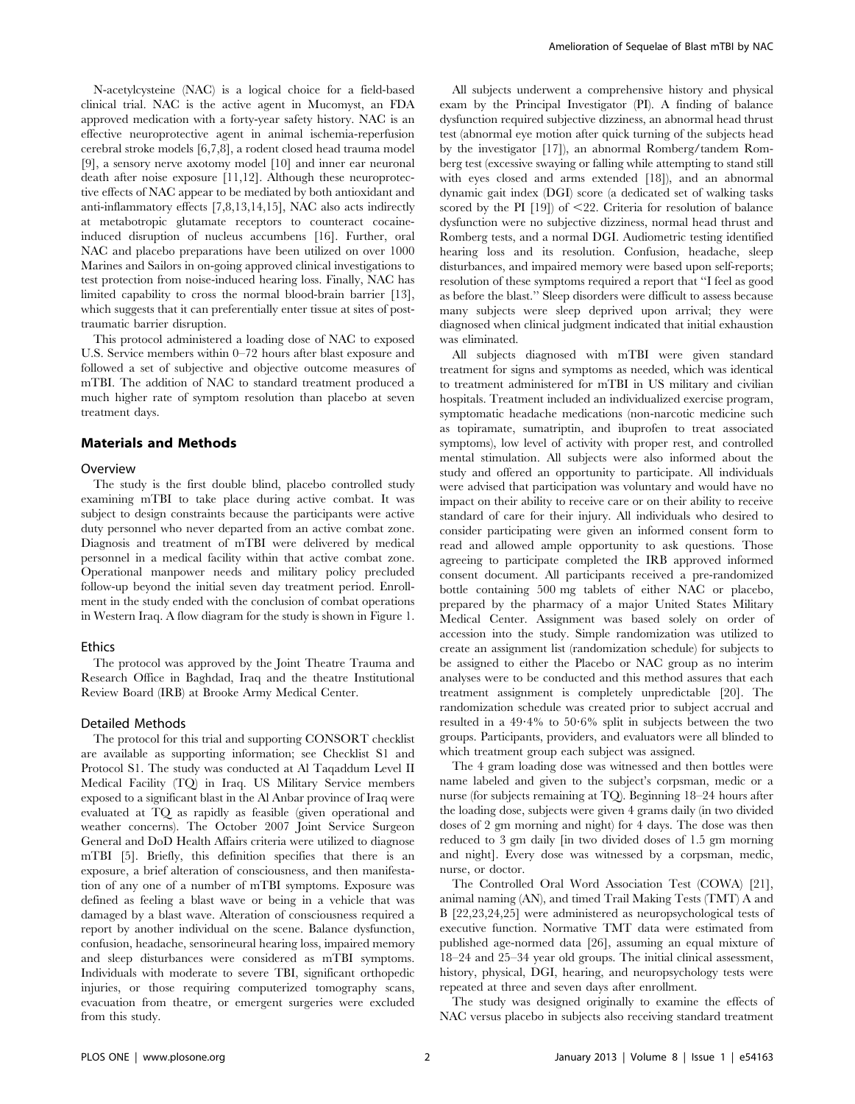N-acetylcysteine (NAC) is a logical choice for a field-based clinical trial. NAC is the active agent in Mucomyst, an FDA approved medication with a forty-year safety history. NAC is an effective neuroprotective agent in animal ischemia-reperfusion cerebral stroke models [6,7,8], a rodent closed head trauma model [9], a sensory nerve axotomy model [10] and inner ear neuronal death after noise exposure [11,12]. Although these neuroprotective effects of NAC appear to be mediated by both antioxidant and anti-inflammatory effects [7,8,13,14,15], NAC also acts indirectly at metabotropic glutamate receptors to counteract cocaineinduced disruption of nucleus accumbens [16]. Further, oral NAC and placebo preparations have been utilized on over 1000 Marines and Sailors in on-going approved clinical investigations to test protection from noise-induced hearing loss. Finally, NAC has limited capability to cross the normal blood-brain barrier [13], which suggests that it can preferentially enter tissue at sites of posttraumatic barrier disruption.

This protocol administered a loading dose of NAC to exposed U.S. Service members within 0–72 hours after blast exposure and followed a set of subjective and objective outcome measures of mTBI. The addition of NAC to standard treatment produced a much higher rate of symptom resolution than placebo at seven treatment days.

# Materials and Methods

#### **Overview**

The study is the first double blind, placebo controlled study examining mTBI to take place during active combat. It was subject to design constraints because the participants were active duty personnel who never departed from an active combat zone. Diagnosis and treatment of mTBI were delivered by medical personnel in a medical facility within that active combat zone. Operational manpower needs and military policy precluded follow-up beyond the initial seven day treatment period. Enrollment in the study ended with the conclusion of combat operations in Western Iraq. A flow diagram for the study is shown in Figure 1.

#### Ethics

The protocol was approved by the Joint Theatre Trauma and Research Office in Baghdad, Iraq and the theatre Institutional Review Board (IRB) at Brooke Army Medical Center.

#### Detailed Methods

The protocol for this trial and supporting CONSORT checklist are available as supporting information; see Checklist S1 and Protocol S1. The study was conducted at Al Taqaddum Level II Medical Facility (TQ) in Iraq. US Military Service members exposed to a significant blast in the Al Anbar province of Iraq were evaluated at TQ as rapidly as feasible (given operational and weather concerns). The October 2007 Joint Service Surgeon General and DoD Health Affairs criteria were utilized to diagnose mTBI [5]. Briefly, this definition specifies that there is an exposure, a brief alteration of consciousness, and then manifestation of any one of a number of mTBI symptoms. Exposure was defined as feeling a blast wave or being in a vehicle that was damaged by a blast wave. Alteration of consciousness required a report by another individual on the scene. Balance dysfunction, confusion, headache, sensorineural hearing loss, impaired memory and sleep disturbances were considered as mTBI symptoms. Individuals with moderate to severe TBI, significant orthopedic injuries, or those requiring computerized tomography scans, evacuation from theatre, or emergent surgeries were excluded from this study.

All subjects underwent a comprehensive history and physical exam by the Principal Investigator (PI). A finding of balance dysfunction required subjective dizziness, an abnormal head thrust test (abnormal eye motion after quick turning of the subjects head by the investigator [17]), an abnormal Romberg/tandem Romberg test (excessive swaying or falling while attempting to stand still with eyes closed and arms extended [18]), and an abnormal dynamic gait index (DGI) score (a dedicated set of walking tasks scored by the PI  $[19]$  of  $\leq 22$ . Criteria for resolution of balance dysfunction were no subjective dizziness, normal head thrust and Romberg tests, and a normal DGI. Audiometric testing identified hearing loss and its resolution. Confusion, headache, sleep disturbances, and impaired memory were based upon self-reports; resolution of these symptoms required a report that ''I feel as good as before the blast.'' Sleep disorders were difficult to assess because many subjects were sleep deprived upon arrival; they were diagnosed when clinical judgment indicated that initial exhaustion was eliminated.

All subjects diagnosed with mTBI were given standard treatment for signs and symptoms as needed, which was identical to treatment administered for mTBI in US military and civilian hospitals. Treatment included an individualized exercise program, symptomatic headache medications (non-narcotic medicine such as topiramate, sumatriptin, and ibuprofen to treat associated symptoms), low level of activity with proper rest, and controlled mental stimulation. All subjects were also informed about the study and offered an opportunity to participate. All individuals were advised that participation was voluntary and would have no impact on their ability to receive care or on their ability to receive standard of care for their injury. All individuals who desired to consider participating were given an informed consent form to read and allowed ample opportunity to ask questions. Those agreeing to participate completed the IRB approved informed consent document. All participants received a pre-randomized bottle containing 500 mg tablets of either NAC or placebo, prepared by the pharmacy of a major United States Military Medical Center. Assignment was based solely on order of accession into the study. Simple randomization was utilized to create an assignment list (randomization schedule) for subjects to be assigned to either the Placebo or NAC group as no interim analyses were to be conducted and this method assures that each treatment assignment is completely unpredictable [20]. The randomization schedule was created prior to subject accrual and resulted in a  $49.4\%$  to  $50.6\%$  split in subjects between the two groups. Participants, providers, and evaluators were all blinded to which treatment group each subject was assigned.

The 4 gram loading dose was witnessed and then bottles were name labeled and given to the subject's corpsman, medic or a nurse (for subjects remaining at TQ). Beginning 18–24 hours after the loading dose, subjects were given 4 grams daily (in two divided doses of 2 gm morning and night) for 4 days. The dose was then reduced to 3 gm daily [in two divided doses of 1.5 gm morning and night]. Every dose was witnessed by a corpsman, medic, nurse, or doctor.

The Controlled Oral Word Association Test (COWA) [21], animal naming (AN), and timed Trail Making Tests (TMT) A and B [22,23,24,25] were administered as neuropsychological tests of executive function. Normative TMT data were estimated from published age-normed data [26], assuming an equal mixture of 18–24 and 25–34 year old groups. The initial clinical assessment, history, physical, DGI, hearing, and neuropsychology tests were repeated at three and seven days after enrollment.

The study was designed originally to examine the effects of NAC versus placebo in subjects also receiving standard treatment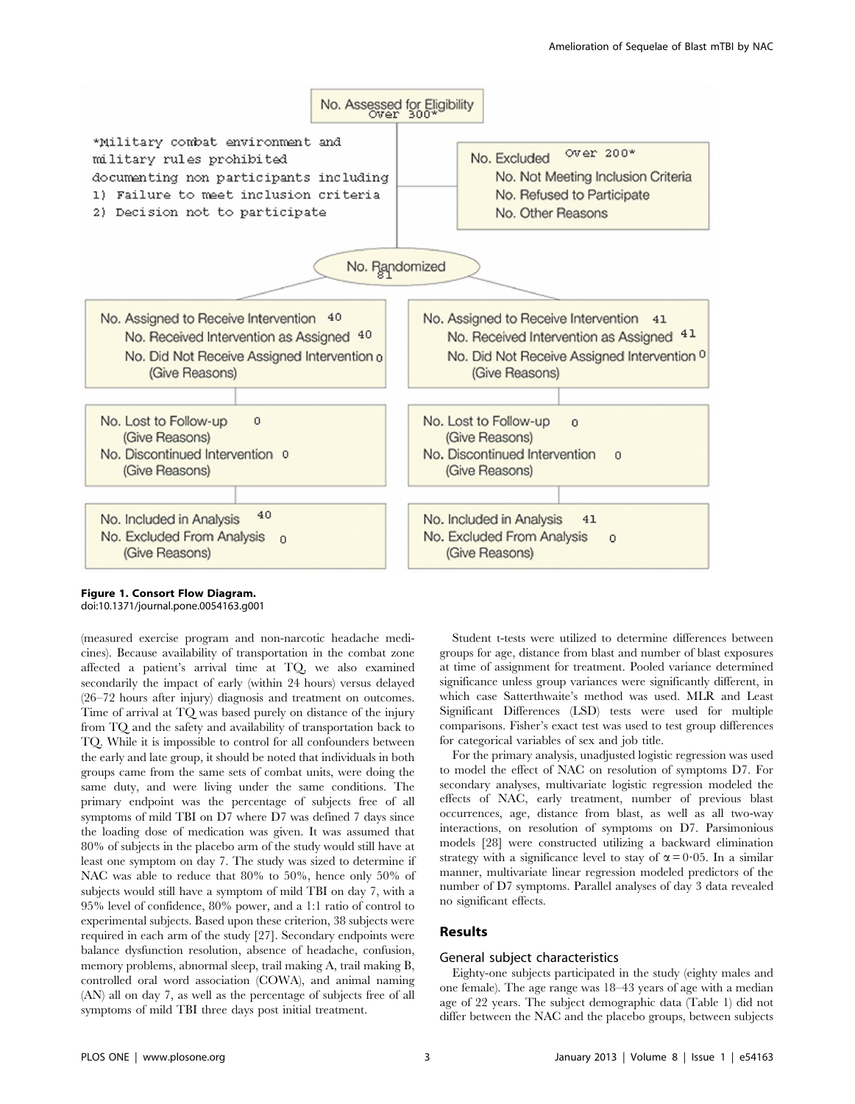

Figure 1. Consort Flow Diagram. doi:10.1371/journal.pone.0054163.g001

(measured exercise program and non-narcotic headache medicines). Because availability of transportation in the combat zone affected a patient's arrival time at TQ, we also examined secondarily the impact of early (within 24 hours) versus delayed (26–72 hours after injury) diagnosis and treatment on outcomes. Time of arrival at TQ was based purely on distance of the injury from TQ and the safety and availability of transportation back to TQ. While it is impossible to control for all confounders between the early and late group, it should be noted that individuals in both groups came from the same sets of combat units, were doing the same duty, and were living under the same conditions. The primary endpoint was the percentage of subjects free of all symptoms of mild TBI on D7 where D7 was defined 7 days since the loading dose of medication was given. It was assumed that 80% of subjects in the placebo arm of the study would still have at least one symptom on day 7. The study was sized to determine if NAC was able to reduce that 80% to 50%, hence only 50% of subjects would still have a symptom of mild TBI on day 7, with a 95% level of confidence, 80% power, and a 1:1 ratio of control to experimental subjects. Based upon these criterion, 38 subjects were required in each arm of the study [27]. Secondary endpoints were balance dysfunction resolution, absence of headache, confusion, memory problems, abnormal sleep, trail making A, trail making B, controlled oral word association (COWA), and animal naming (AN) all on day 7, as well as the percentage of subjects free of all symptoms of mild TBI three days post initial treatment.

Student t-tests were utilized to determine differences between groups for age, distance from blast and number of blast exposures at time of assignment for treatment. Pooled variance determined significance unless group variances were significantly different, in which case Satterthwaite's method was used. MLR and Least Significant Differences (LSD) tests were used for multiple comparisons. Fisher's exact test was used to test group differences for categorical variables of sex and job title.

For the primary analysis, unadjusted logistic regression was used to model the effect of NAC on resolution of symptoms D7. For secondary analyses, multivariate logistic regression modeled the effects of NAC, early treatment, number of previous blast occurrences, age, distance from blast, as well as all two-way interactions, on resolution of symptoms on D7. Parsimonious models [28] were constructed utilizing a backward elimination strategy with a significance level to stay of  $\alpha = 0.05$ . In a similar manner, multivariate linear regression modeled predictors of the number of D7 symptoms. Parallel analyses of day 3 data revealed no significant effects.

# Results

# General subject characteristics

Eighty-one subjects participated in the study (eighty males and one female). The age range was 18–43 years of age with a median age of 22 years. The subject demographic data (Table 1) did not differ between the NAC and the placebo groups, between subjects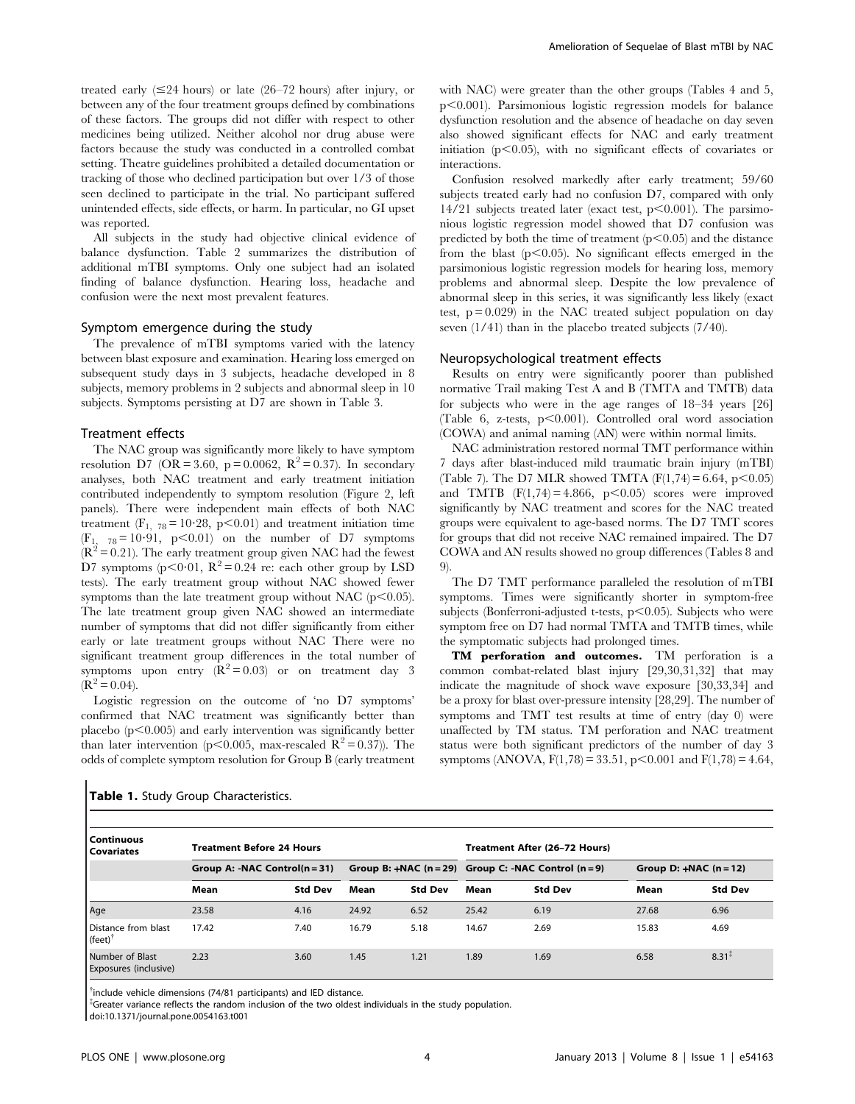treated early  $(\leq 24$  hours) or late (26–72 hours) after injury, or between any of the four treatment groups defined by combinations of these factors. The groups did not differ with respect to other medicines being utilized. Neither alcohol nor drug abuse were factors because the study was conducted in a controlled combat setting. Theatre guidelines prohibited a detailed documentation or tracking of those who declined participation but over 1/3 of those seen declined to participate in the trial. No participant suffered unintended effects, side effects, or harm. In particular, no GI upset was reported.

All subjects in the study had objective clinical evidence of balance dysfunction. Table 2 summarizes the distribution of additional mTBI symptoms. Only one subject had an isolated finding of balance dysfunction. Hearing loss, headache and confusion were the next most prevalent features.

#### Symptom emergence during the study

The prevalence of mTBI symptoms varied with the latency between blast exposure and examination. Hearing loss emerged on subsequent study days in 3 subjects, headache developed in 8 subjects, memory problems in 2 subjects and abnormal sleep in 10 subjects. Symptoms persisting at D7 are shown in Table 3.

#### Treatment effects

The NAC group was significantly more likely to have symptom resolution D7 (OR = 3.60, p = 0.0062,  $R^2 = 0.37$ ). In secondary analyses, both NAC treatment and early treatment initiation contributed independently to symptom resolution (Figure 2, left panels). There were independent main effects of both NAC treatment ( $F_{1, 78} = 10.28$ , p<0.01) and treatment initiation time  $(F_1, 78=10.91, p<0.01)$  on the number of D7 symptoms  $(R<sup>2</sup> = 0.21)$ . The early treatment group given NAC had the fewest D7 symptoms ( $p < 0.01$ ,  $R^2 = 0.24$  re: each other group by LSD tests). The early treatment group without NAC showed fewer symptoms than the late treatment group without NAC ( $p$ <0.05). The late treatment group given NAC showed an intermediate number of symptoms that did not differ significantly from either early or late treatment groups without NAC There were no significant treatment group differences in the total number of symptoms upon entry  $(\mathbf{R}^2 = 0.03)$  or on treatment day 3  $(R^2 = 0.04)$ .

Logistic regression on the outcome of 'no D7 symptoms' confirmed that NAC treatment was significantly better than placebo  $(p<0.005)$  and early intervention was significantly better than later intervention (p<0.005, max-rescaled  $\mathbb{R}^2 = 0.37$ )). The odds of complete symptom resolution for Group B (early treatment

with NAC) were greater than the other groups (Tables 4 and 5,  $p<0.001$ ). Parsimonious logistic regression models for balance dysfunction resolution and the absence of headache on day seven also showed significant effects for NAC and early treatment initiation ( $p<0.05$ ), with no significant effects of covariates or interactions.

Confusion resolved markedly after early treatment; 59/60 subjects treated early had no confusion D7, compared with only  $14/21$  subjects treated later (exact test,  $p<0.001$ ). The parsimonious logistic regression model showed that D7 confusion was predicted by both the time of treatment  $(p<0.05)$  and the distance from the blast  $(p<0.05)$ . No significant effects emerged in the parsimonious logistic regression models for hearing loss, memory problems and abnormal sleep. Despite the low prevalence of abnormal sleep in this series, it was significantly less likely (exact test,  $p = 0.029$  in the NAC treated subject population on day seven (1/41) than in the placebo treated subjects (7/40).

#### Neuropsychological treatment effects

Results on entry were significantly poorer than published normative Trail making Test A and B (TMTA and TMTB) data for subjects who were in the age ranges of 18–34 years [26] (Table 6, z-tests,  $p<0.001$ ). Controlled oral word association (COWA) and animal naming (AN) were within normal limits.

NAC administration restored normal TMT performance within 7 days after blast-induced mild traumatic brain injury (mTBI) (Table 7). The D7 MLR showed TMTA  $(F(1,74) = 6.64, p < 0.05)$ and TMTB  $(F(1,74) = 4.866, p < 0.05)$  scores were improved significantly by NAC treatment and scores for the NAC treated groups were equivalent to age-based norms. The D7 TMT scores for groups that did not receive NAC remained impaired. The D7 COWA and AN results showed no group differences (Tables 8 and 9).

The D7 TMT performance paralleled the resolution of mTBI symptoms. Times were significantly shorter in symptom-free subjects (Bonferroni-adjusted t-tests,  $p<0.05$ ). Subjects who were symptom free on D7 had normal TMTA and TMTB times, while the symptomatic subjects had prolonged times.

TM perforation and outcomes. TM perforation is a common combat-related blast injury [29,30,31,32] that may indicate the magnitude of shock wave exposure [30,33,34] and be a proxy for blast over-pressure intensity [28,29]. The number of symptoms and TMT test results at time of entry (day 0) were unaffected by TM status. TM perforation and NAC treatment status were both significant predictors of the number of day 3 symptoms (ANOVA,  $F(1,78) = 33.51$ ,  $p < 0.001$  and  $F(1,78) = 4.64$ ,

| l Continuous<br>l Covariates             | <b>Treatment Before 24 Hours</b> |                |       |                | Treatment After (26-72 Hours)                            |                |       |                          |  |
|------------------------------------------|----------------------------------|----------------|-------|----------------|----------------------------------------------------------|----------------|-------|--------------------------|--|
|                                          | Group A: -NAC Control $(n=31)$   |                |       |                | Group B: $+NAC$ (n = 29) Group C: $-NAC$ Control (n = 9) |                |       | Group D: $+NAC$ (n = 12) |  |
|                                          | Mean                             | <b>Std Dev</b> | Mean  | <b>Std Dev</b> | Mean                                                     | <b>Std Dev</b> | Mean  | <b>Std Dev</b>           |  |
| Age                                      | 23.58                            | 4.16           | 24.92 | 6.52           | 25.42                                                    | 6.19           | 27.68 | 6.96                     |  |
| Distance from blast<br>(feet)            | 17.42                            | 7.40           | 16.79 | 5.18           | 14.67                                                    | 2.69           | 15.83 | 4.69                     |  |
| Number of Blast<br>Exposures (inclusive) | 2.23                             | 3.60           | 1.45  | 1.21           | 1.89                                                     | 1.69           | 6.58  | $8.31^{x}$               |  |

Table 1. Study Group Characteristics.

 $\dagger$ include vehicle dimensions (74/81 participants) and IED distance.

{ Greater variance reflects the random inclusion of the two oldest individuals in the study population.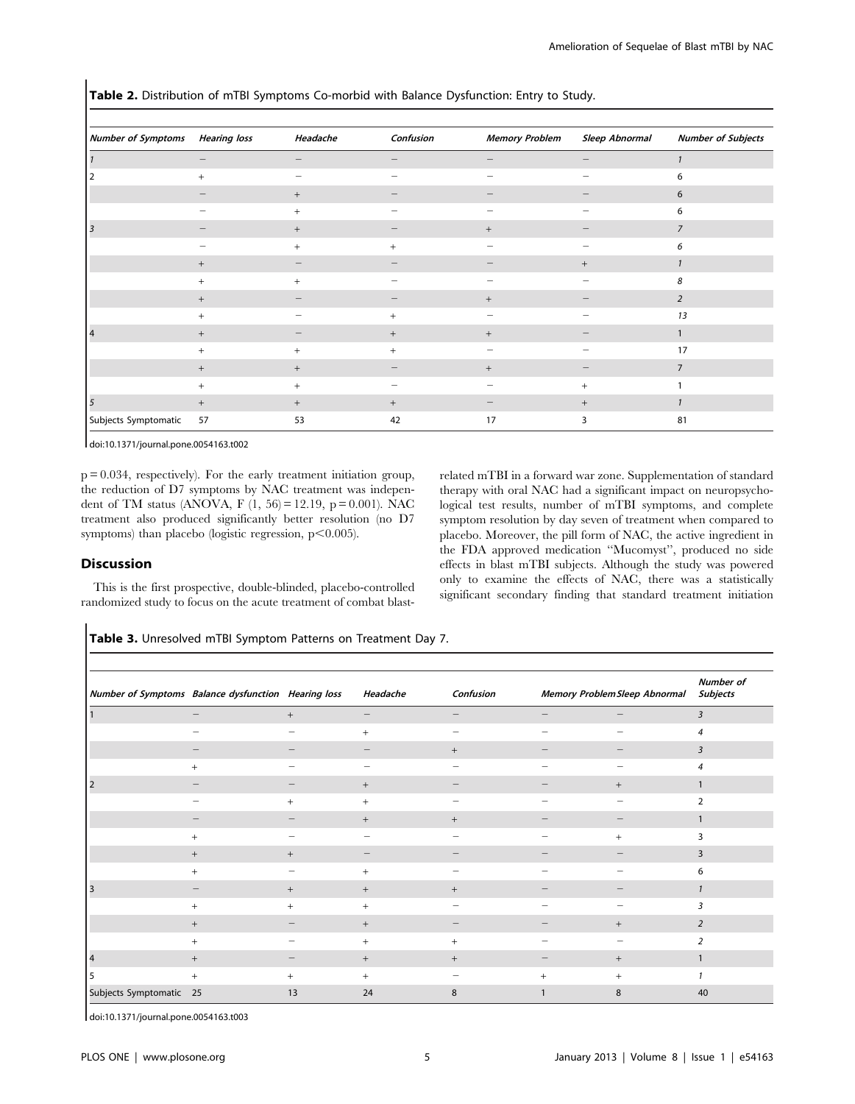Number of Symptoms Hearing loss Headache Confusion Memory Problem Sleep Abnormal Number of Subjects 1 and 2222  $-$  2222  $-$  2222  $-$  2222  $-$  2222  $-$  2222  $-$  2222  $-$  2222  $-$  2222  $-$  2222  $-$  2222  $-$  2222  $-$  2222  $-$  2222  $-$  2222  $-$  2222  $-$  2222  $-$  2222  $-$  2222  $-$  2222  $-$  2222  $-$  2222  $-$  2222  $-$  2222  $-$ 2  $+$   $-$ 2 + 222 + 222 + 222 + 222 + 222 + 222 + 222 + 222 + 222 + 222 + 222 + 222 + 222 + 222 + 222 + 222 + 222 + 222 + 222 + 222 + 222 + 222 + 222 + 222 + 222 + 222 + 222 + 222 + 222 + 222 + 222 + 222 + 222 + 222 + 222 + 222 + 22 2 + 222 6 3  $-$  2  $+$   $+$   $+$   $+$   $+$  $+$   $+$   $+$   $6$ + 222 + 1 + + 222 8 + 2 2 + 2 2 + 2 + 2 2 13 4 + 2 + + 2 1 +++ 2 2 17 + + 2 + 2 7 + + 2 2 + 1 5  $+$   $+$   $+$   $+$   $+$   $+$   $+$   $+$   $+$   $1$ Subjects Symptomatic 57 53 42 17 3 81

Table 2. Distribution of mTBI Symptoms Co-morbid with Balance Dysfunction: Entry to Study.

doi:10.1371/journal.pone.0054163.t002

 $p = 0.034$ , respectively). For the early treatment initiation group, the reduction of D7 symptoms by NAC treatment was independent of TM status (ANOVA, F  $(1, 56) = 12.19$ , p = 0.001). NAC treatment also produced significantly better resolution (no D7 symptoms) than placebo (logistic regression,  $p<0.005$ ).

# Discussion

This is the first prospective, double-blinded, placebo-controlled randomized study to focus on the acute treatment of combat blastrelated mTBI in a forward war zone. Supplementation of standard therapy with oral NAC had a significant impact on neuropsychological test results, number of mTBI symptoms, and complete symptom resolution by day seven of treatment when compared to placebo. Moreover, the pill form of NAC, the active ingredient in the FDA approved medication ''Mucomyst'', produced no side effects in blast mTBI subjects. Although the study was powered only to examine the effects of NAC, there was a statistically significant secondary finding that standard treatment initiation

Table 3. Unresolved mTBI Symptom Patterns on Treatment Day 7.

| Number of Symptoms Balance dysfunction Hearing loss |                   |                                                                           | Headache                 | Confusion                |                   | Memory Problem Sleep Abnormal | <b>Number of</b><br>Subjects |
|-----------------------------------------------------|-------------------|---------------------------------------------------------------------------|--------------------------|--------------------------|-------------------|-------------------------------|------------------------------|
|                                                     |                   | $+$                                                                       | $\qquad \qquad -$        | $\qquad \qquad -$        | $\qquad \qquad -$ | $\qquad \qquad -$             | $\overline{3}$               |
|                                                     |                   |                                                                           | $\qquad \qquad +$        |                          |                   |                               | $\overline{4}$               |
|                                                     |                   |                                                                           |                          | $+$                      |                   |                               | $\overline{3}$               |
|                                                     | $+$               |                                                                           |                          |                          |                   |                               | $\overline{4}$               |
|                                                     |                   |                                                                           | $\qquad \qquad +$        |                          |                   | $+$                           |                              |
|                                                     |                   | $+$                                                                       | $\qquad \qquad +$        |                          |                   |                               | $\overline{2}$               |
|                                                     |                   |                                                                           | $\qquad \qquad +$        | $+$                      |                   |                               |                              |
|                                                     | $^{+}$            | $\hspace{1.0cm} \rule{1.5cm}{0.15cm} \hspace{1.0cm} \rule{1.5cm}{0.15cm}$ | $\overline{\phantom{a}}$ | $\overline{\phantom{0}}$ |                   | $+$                           | 3                            |
|                                                     | $\qquad \qquad +$ | $+$                                                                       |                          |                          |                   |                               | 3                            |
|                                                     | $^{+}$            |                                                                           | $\qquad \qquad +$        |                          |                   |                               | 6                            |
|                                                     |                   | $^{+}$                                                                    | $\qquad \qquad +$        | $^{+}$                   |                   |                               |                              |
|                                                     | $^{+}$            | $^{+}$                                                                    | $^{+}$                   |                          |                   |                               | 3                            |
|                                                     | $+$               |                                                                           | $\qquad \qquad +$        |                          |                   | $+$                           | 2                            |
|                                                     | $+$               |                                                                           | $\qquad \qquad +$        | $+$                      |                   |                               | $\overline{2}$               |
|                                                     | $+$               |                                                                           | $\qquad \qquad +$        | $+$                      |                   | $^{+}$                        | $\mathbf{1}$                 |
|                                                     | $^{+}$            | $^{+}$                                                                    | $^{+}$                   | $\overline{\phantom{0}}$ | $+$               | $^{+}$                        |                              |
| Subjects Symptomatic 25                             |                   | 13                                                                        | 24                       | 8                        | $\mathbf{1}$      | 8                             | 40                           |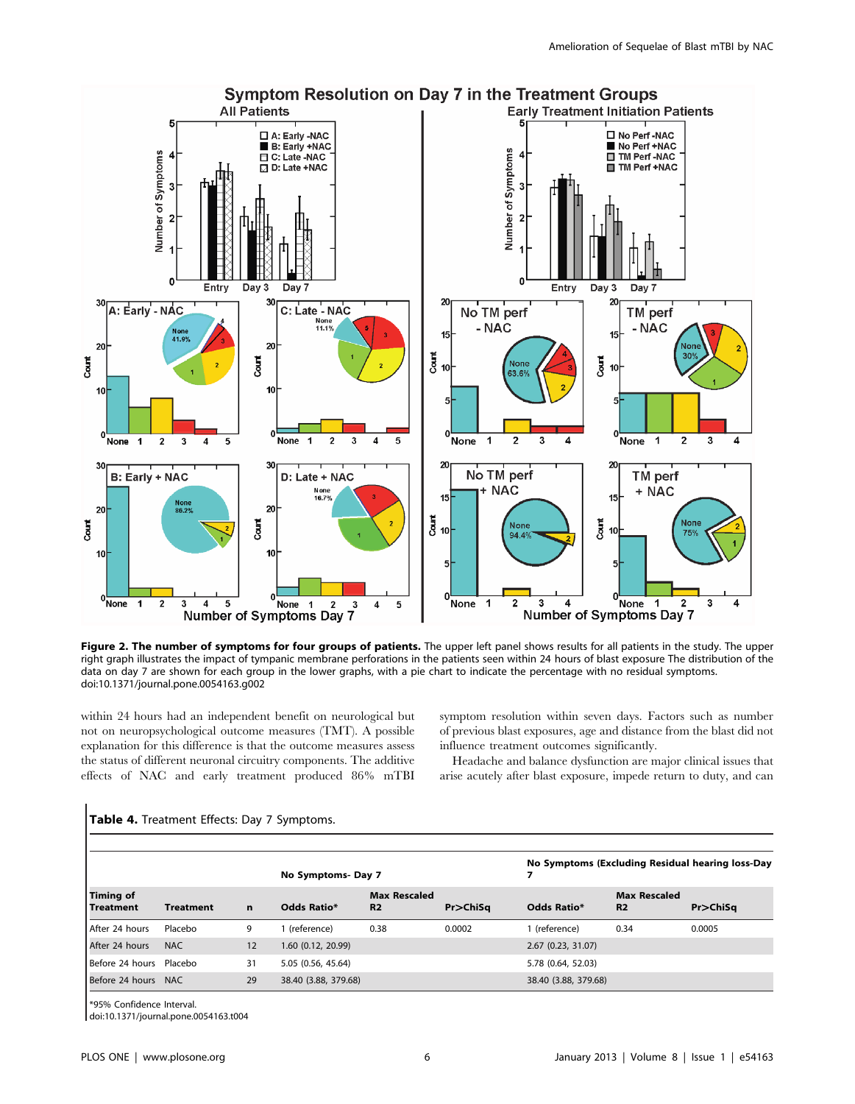

Figure 2. The number of symptoms for four groups of patients. The upper left panel shows results for all patients in the study. The upper right graph illustrates the impact of tympanic membrane perforations in the patients seen within 24 hours of blast exposure The distribution of the data on day 7 are shown for each group in the lower graphs, with a pie chart to indicate the percentage with no residual symptoms. doi:10.1371/journal.pone.0054163.g002

within 24 hours had an independent benefit on neurological but not on neuropsychological outcome measures (TMT). A possible explanation for this difference is that the outcome measures assess the status of different neuronal circuitry components. The additive effects of NAC and early treatment produced 86% mTBI symptom resolution within seven days. Factors such as number of previous blast exposures, age and distance from the blast did not influence treatment outcomes significantly.

Headache and balance dysfunction are major clinical issues that arise acutely after blast exposure, impede return to duty, and can

|                               |                  |             | No Symptoms-Day 7    |                                       |                |                      | No Symptoms (Excluding Residual hearing loss-Day |                |  |  |
|-------------------------------|------------------|-------------|----------------------|---------------------------------------|----------------|----------------------|--------------------------------------------------|----------------|--|--|
| Timing of<br><b>Treatment</b> | <b>Treatment</b> | $\mathbf n$ | <b>Odds Ratio*</b>   | <b>Max Rescaled</b><br>R <sub>2</sub> | $Pr$ $>$ ChiSq | Odds Ratio*          | <b>Max Rescaled</b><br>R <sub>2</sub>            | $Pr$ $>$ ChiSq |  |  |
| After 24 hours                | Placebo          | 9           | (reference)          | 0.38                                  | 0.0002         | 1 (reference)        | 0.34                                             | 0.0005         |  |  |
| After 24 hours                | <b>NAC</b>       | 12          | 1.60 (0.12, 20.99)   |                                       |                | 2.67 (0.23, 31.07)   |                                                  |                |  |  |
| Before 24 hours Placebo       |                  | 31          | 5.05 (0.56, 45.64)   |                                       |                | 5.78 (0.64, 52.03)   |                                                  |                |  |  |
| Before 24 hours NAC           |                  | 29          | 38.40 (3.88, 379.68) |                                       |                | 38.40 (3.88, 379.68) |                                                  |                |  |  |

# Table 4. Treatment Effects: Day 7 Symptoms.

\*95% Confidence Interval.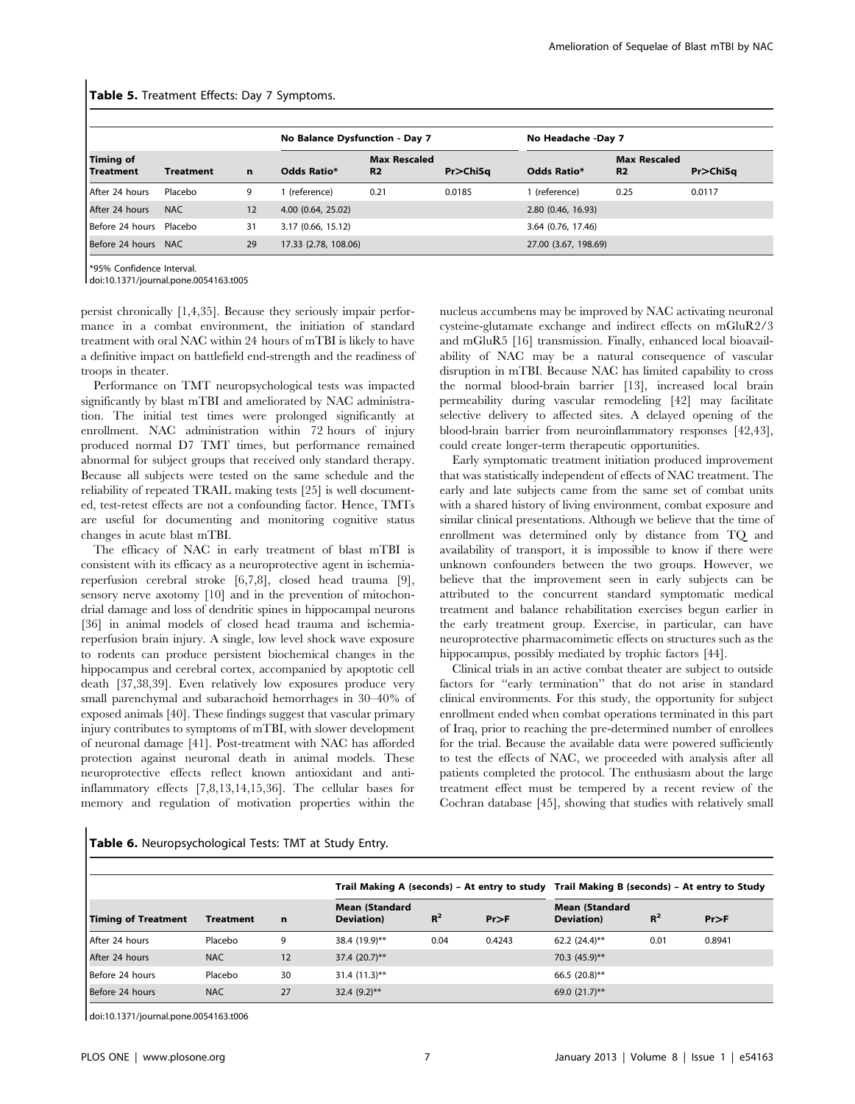|                          |            |    | No Balance Dysfunction - Day 7 |                                       |                |                      | No Headache -Day 7                    |          |  |  |
|--------------------------|------------|----|--------------------------------|---------------------------------------|----------------|----------------------|---------------------------------------|----------|--|--|
| Timing of<br>l Treatment | Treatment  | n  | <b>Odds Ratio*</b>             | <b>Max Rescaled</b><br>R <sub>2</sub> | $Pr$ $>$ ChiSq | <b>Odds Ratio*</b>   | <b>Max Rescaled</b><br>R <sub>2</sub> | Pr>ChiSq |  |  |
| After 24 hours           | Placebo    | 9  | (reference)                    | 0.21                                  | 0.0185         | (reference)          | 0.25                                  | 0.0117   |  |  |
| After 24 hours           | NAC.       | 12 | 4.00 (0.64, 25.02)             |                                       |                | 2.80 (0.46, 16.93)   |                                       |          |  |  |
| Before 24 hours          | Placebo    | 31 | 3.17 (0.66, 15.12)             |                                       |                | 3.64 (0.76, 17.46)   |                                       |          |  |  |
| Before 24 hours          | <b>NAC</b> | 29 | 17.33 (2.78, 108.06)           |                                       |                | 27.00 (3.67, 198.69) |                                       |          |  |  |

#### Table 5. Treatment Effects: Day 7 Symptoms.

\*95% Confidence Interval.

doi:10.1371/journal.pone.0054163.t005

persist chronically [1,4,35]. Because they seriously impair performance in a combat environment, the initiation of standard treatment with oral NAC within 24 hours of mTBI is likely to have a definitive impact on battlefield end-strength and the readiness of troops in theater.

Performance on TMT neuropsychological tests was impacted significantly by blast mTBI and ameliorated by NAC administration. The initial test times were prolonged significantly at enrollment. NAC administration within 72 hours of injury produced normal D7 TMT times, but performance remained abnormal for subject groups that received only standard therapy. Because all subjects were tested on the same schedule and the reliability of repeated TRAIL making tests [25] is well documented, test-retest effects are not a confounding factor. Hence, TMTs are useful for documenting and monitoring cognitive status changes in acute blast mTBI.

The efficacy of NAC in early treatment of blast mTBI is consistent with its efficacy as a neuroprotective agent in ischemiareperfusion cerebral stroke [6,7,8], closed head trauma [9], sensory nerve axotomy [10] and in the prevention of mitochondrial damage and loss of dendritic spines in hippocampal neurons [36] in animal models of closed head trauma and ischemiareperfusion brain injury. A single, low level shock wave exposure to rodents can produce persistent biochemical changes in the hippocampus and cerebral cortex, accompanied by apoptotic cell death [37,38,39]. Even relatively low exposures produce very small parenchymal and subarachoid hemorrhages in 30–40% of exposed animals [40]. These findings suggest that vascular primary injury contributes to symptoms of mTBI, with slower development of neuronal damage [41]. Post-treatment with NAC has afforded protection against neuronal death in animal models. These neuroprotective effects reflect known antioxidant and antiinflammatory effects [7,8,13,14,15,36]. The cellular bases for memory and regulation of motivation properties within the

nucleus accumbens may be improved by NAC activating neuronal cysteine-glutamate exchange and indirect effects on mGluR2/3 and mGluR5 [16] transmission. Finally, enhanced local bioavailability of NAC may be a natural consequence of vascular disruption in mTBI. Because NAC has limited capability to cross the normal blood-brain barrier [13], increased local brain permeability during vascular remodeling [42] may facilitate selective delivery to affected sites. A delayed opening of the blood-brain barrier from neuroinflammatory responses [42,43], could create longer-term therapeutic opportunities.

Early symptomatic treatment initiation produced improvement that was statistically independent of effects of NAC treatment. The early and late subjects came from the same set of combat units with a shared history of living environment, combat exposure and similar clinical presentations. Although we believe that the time of enrollment was determined only by distance from TQ and availability of transport, it is impossible to know if there were unknown confounders between the two groups. However, we believe that the improvement seen in early subjects can be attributed to the concurrent standard symptomatic medical treatment and balance rehabilitation exercises begun earlier in the early treatment group. Exercise, in particular, can have neuroprotective pharmacomimetic effects on structures such as the hippocampus, possibly mediated by trophic factors [44].

Clinical trials in an active combat theater are subject to outside factors for ''early termination'' that do not arise in standard clinical environments. For this study, the opportunity for subject enrollment ended when combat operations terminated in this part of Iraq, prior to reaching the pre-determined number of enrollees for the trial. Because the available data were powered sufficiently to test the effects of NAC, we proceeded with analysis after all patients completed the protocol. The enthusiasm about the large treatment effect must be tempered by a recent review of the Cochran database [45], showing that studies with relatively small

|  | Table 6. Neuropsychological Tests: TMT at Study Entry. |  |  |  |
|--|--------------------------------------------------------|--|--|--|
|--|--------------------------------------------------------|--|--|--|

|                            |                  |             |                                     |       |            |                                             |       | Trail Making A (seconds) – At entry to study Trail Making B (seconds) – At entry to Study |  |  |
|----------------------------|------------------|-------------|-------------------------------------|-------|------------|---------------------------------------------|-------|-------------------------------------------------------------------------------------------|--|--|
| <b>Timing of Treatment</b> | <b>Treatment</b> | $\mathbf n$ | <b>Mean (Standard</b><br>Deviation) | $R^2$ | $Pr$ $>$ F | <b>Mean (Standard</b><br><b>Deviation</b> ) | $R^2$ | Pr > F                                                                                    |  |  |
| After 24 hours             | Placebo          | 9           | 38.4 (19.9)**                       | 0.04  | 0.4243     | 62.2 $(24.4)$ **                            | 0.01  | 0.8941                                                                                    |  |  |
| After 24 hours             | <b>NAC</b>       | 12          | $37.4 (20.7)$ **                    |       |            | 70.3 (45.9)**                               |       |                                                                                           |  |  |
| Before 24 hours            | Placebo          | 30          | $31.4(11.3)$ **                     |       |            | 66.5 $(20.8)$ **                            |       |                                                                                           |  |  |
| Before 24 hours            | <b>NAC</b>       | 27          | 32.4 $(9.2)$ **                     |       |            | 69.0 $(21.7)$ **                            |       |                                                                                           |  |  |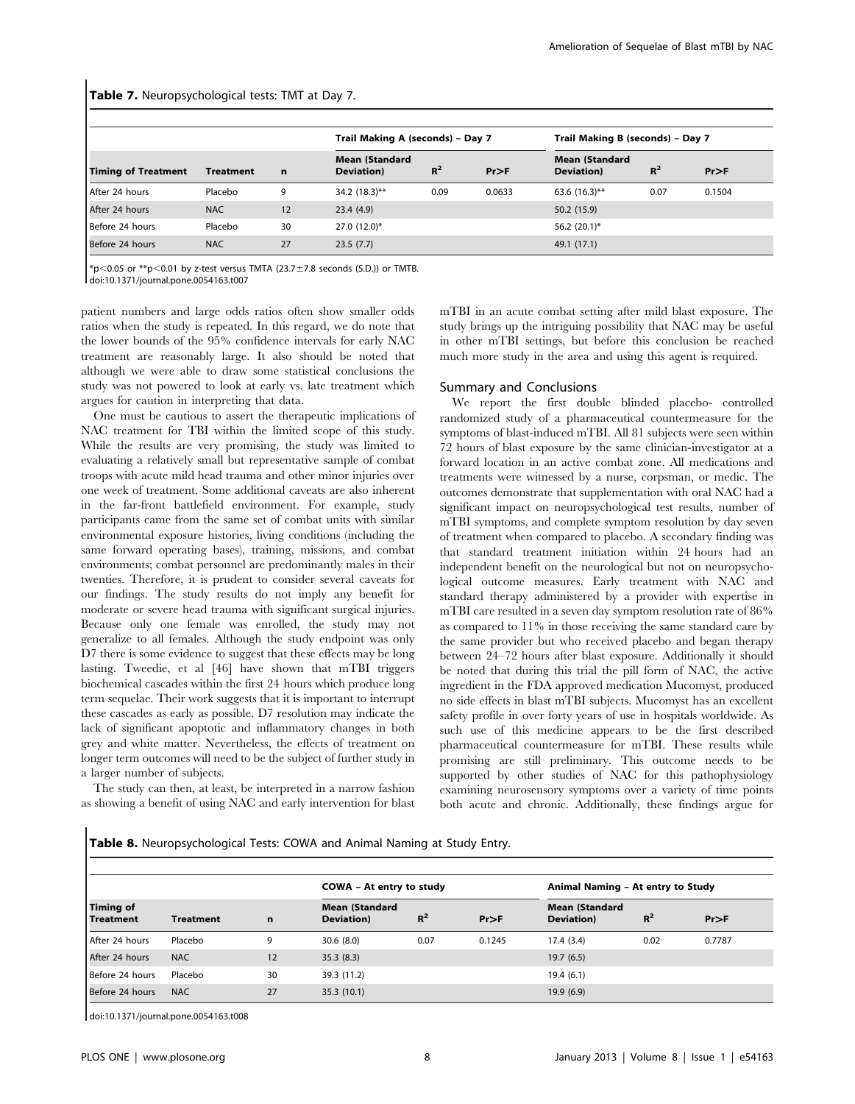|  | Table 7. Neuropsychological tests: TMT at Day 7. |  |  |  |  |
|--|--------------------------------------------------|--|--|--|--|
|--|--------------------------------------------------|--|--|--|--|

|                            |                  |             | Trail Making A (seconds) - Day 7    |       |        | Trail Making B (seconds) - Day 7     |       |        |
|----------------------------|------------------|-------------|-------------------------------------|-------|--------|--------------------------------------|-------|--------|
| <b>Timing of Treatment</b> | <b>Treatment</b> | $\mathbf n$ | <b>Mean (Standard</b><br>Deviation) | $R^2$ | Pr>F   | <b>Mean (Standard)</b><br>Deviation) | $R^2$ | Pr>F   |
| After 24 hours             | Placebo          | 9           | $34.2(18.3)$ **                     | 0.09  | 0.0633 | 63.6 $(16.3)$ **                     | 0.07  | 0.1504 |
| After 24 hours             | NAC.             | 12          | 23.4(4.9)                           |       |        | 50.2 (15.9)                          |       |        |
| Before 24 hours            | Placebo          | 30          | $27.0(12.0)$ *                      |       |        | 56.2 $(20.1)^*$                      |       |        |
| Before 24 hours            | <b>NAC</b>       | 27          | 23.5(7.7)                           |       |        | 49.1 (17.1)                          |       |        |

 $*p$ <0.05 or  $*p$ <0.01 by z-test versus TMTA (23.7±7.8 seconds (S.D.)) or TMTB.

doi:10.1371/journal.pone.0054163.t007

patient numbers and large odds ratios often show smaller odds ratios when the study is repeated. In this regard, we do note that the lower bounds of the 95% confidence intervals for early NAC treatment are reasonably large. It also should be noted that although we were able to draw some statistical conclusions the study was not powered to look at early vs. late treatment which argues for caution in interpreting that data.

One must be cautious to assert the therapeutic implications of NAC treatment for TBI within the limited scope of this study. While the results are very promising, the study was limited to evaluating a relatively small but representative sample of combat troops with acute mild head trauma and other minor injuries over one week of treatment. Some additional caveats are also inherent in the far-front battlefield environment. For example, study participants came from the same set of combat units with similar environmental exposure histories, living conditions (including the same forward operating bases), training, missions, and combat environments; combat personnel are predominantly males in their twenties. Therefore, it is prudent to consider several caveats for our findings. The study results do not imply any benefit for moderate or severe head trauma with significant surgical injuries. Because only one female was enrolled, the study may not generalize to all females. Although the study endpoint was only D7 there is some evidence to suggest that these effects may be long lasting. Tweedie, et al [46] have shown that mTBI triggers biochemical cascades within the first 24 hours which produce long term sequelae. Their work suggests that it is important to interrupt these cascades as early as possible. D7 resolution may indicate the lack of significant apoptotic and inflammatory changes in both grey and white matter. Nevertheless, the effects of treatment on longer term outcomes will need to be the subject of further study in a larger number of subjects.

The study can then, at least, be interpreted in a narrow fashion as showing a benefit of using NAC and early intervention for blast mTBI in an acute combat setting after mild blast exposure. The study brings up the intriguing possibility that NAC may be useful in other mTBI settings, but before this conclusion be reached much more study in the area and using this agent is required.

# Summary and Conclusions

We report the first double blinded placebo- controlled randomized study of a pharmaceutical countermeasure for the symptoms of blast-induced mTBI. All 81 subjects were seen within 72 hours of blast exposure by the same clinician-investigator at a forward location in an active combat zone. All medications and treatments were witnessed by a nurse, corpsman, or medic. The outcomes demonstrate that supplementation with oral NAC had a significant impact on neuropsychological test results, number of mTBI symptoms, and complete symptom resolution by day seven of treatment when compared to placebo. A secondary finding was that standard treatment initiation within 24 hours had an independent benefit on the neurological but not on neuropsychological outcome measures. Early treatment with NAC and standard therapy administered by a provider with expertise in mTBI care resulted in a seven day symptom resolution rate of 86% as compared to 11% in those receiving the same standard care by the same provider but who received placebo and began therapy between 24–72 hours after blast exposure. Additionally it should be noted that during this trial the pill form of NAC, the active ingredient in the FDA approved medication Mucomyst, produced no side effects in blast mTBI subjects. Mucomyst has an excellent safety profile in over forty years of use in hospitals worldwide. As such use of this medicine appears to be the first described pharmaceutical countermeasure for mTBI. These results while promising are still preliminary. This outcome needs to be supported by other studies of NAC for this pathophysiology examining neurosensory symptoms over a variety of time points both acute and chronic. Additionally, these findings argue for

Table 8. Neuropsychological Tests: COWA and Animal Naming at Study Entry.

|                                      |            |             | COWA - At entry to study                    |       |            | Animal Naming - At entry to Study   |       |        |
|--------------------------------------|------------|-------------|---------------------------------------------|-------|------------|-------------------------------------|-------|--------|
| <b>Timing of</b><br><b>Treatment</b> | Treatment  | $\mathbf n$ | <b>Mean (Standard</b><br><b>Deviation</b> ) | $R^2$ | $Pr$ $>$ F | <b>Mean (Standard</b><br>Deviation) | $R^2$ | Pr>F   |
| After 24 hours                       | Placebo    | 9           | 30.6(8.0)                                   | 0.07  | 0.1245     | 17.4(3.4)                           | 0.02  | 0.7787 |
| After 24 hours                       | <b>NAC</b> | 12          | 35.3(8.3)                                   |       |            | 19.7(6.5)                           |       |        |
| Before 24 hours                      | Placebo    | 30          | 39.3 (11.2)                                 |       |            | 19.4(6.1)                           |       |        |
| Before 24 hours                      | <b>NAC</b> | 27          | 35.3(10.1)                                  |       |            | 19.9(6.9)                           |       |        |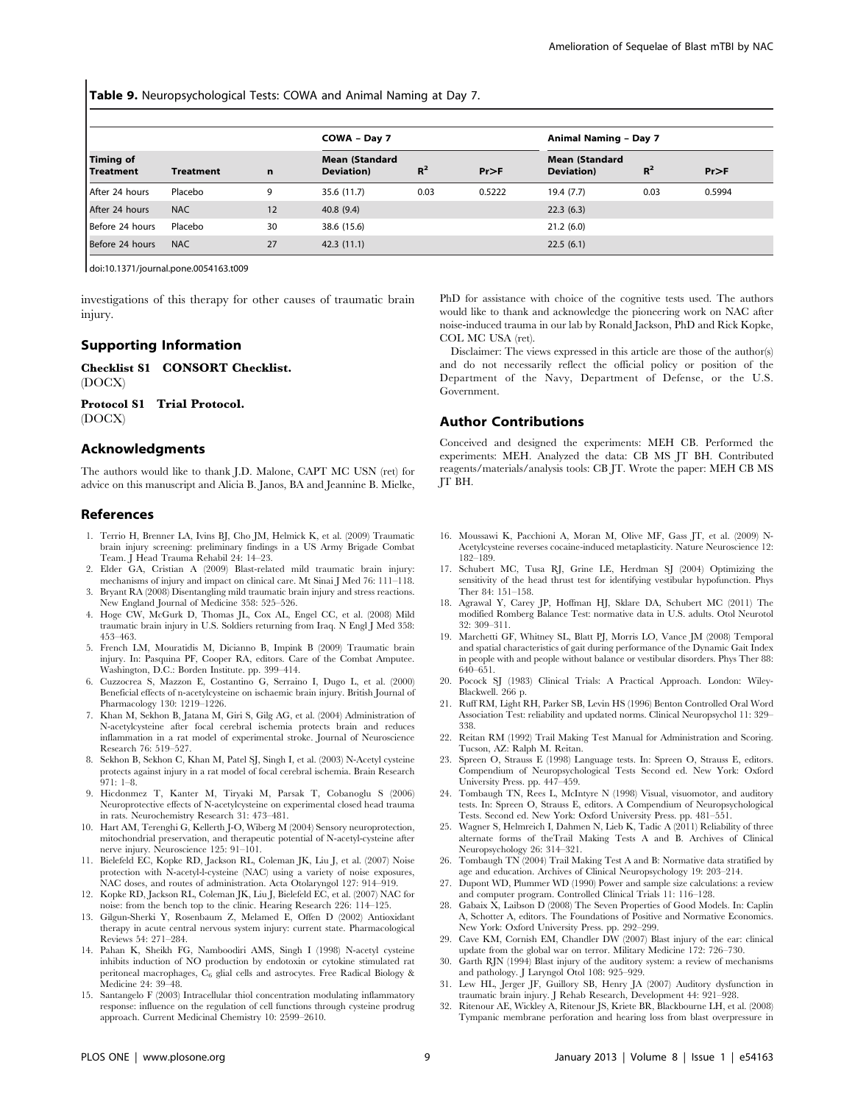Table 9. Neuropsychological Tests: COWA and Animal Naming at Day 7.

|                               |                  |    | COWA - Day 7                        |       |        |                                     | Animal Naming - Day 7 |        |  |  |
|-------------------------------|------------------|----|-------------------------------------|-------|--------|-------------------------------------|-----------------------|--------|--|--|
| Timing of<br><b>Treatment</b> | <b>Treatment</b> | n  | <b>Mean (Standard</b><br>Deviation) | $R^2$ | Pr>F   | <b>Mean (Standard</b><br>Deviation) | $R^2$                 | Pr>F   |  |  |
| After 24 hours                | Placebo          | 9  | 35.6 (11.7)                         | 0.03  | 0.5222 | 19.4(7.7)                           | 0.03                  | 0.5994 |  |  |
| After 24 hours                | <b>NAC</b>       | 12 | 40.8(9.4)                           |       |        | 22.3(6.3)                           |                       |        |  |  |
| Before 24 hours               | Placebo          | 30 | 38.6 (15.6)                         |       |        | 21.2(6.0)                           |                       |        |  |  |
| Before 24 hours               | <b>NAC</b>       | 27 | 42.3(11.1)                          |       |        | 22.5(6.1)                           |                       |        |  |  |

doi:10.1371/journal.pone.0054163.t009

investigations of this therapy for other causes of traumatic brain injury.

#### Supporting Information

Checklist S1 CONSORT Checklist. (DOCX)

Protocol S1 Trial Protocol. (DOCX)

# Acknowledgments

The authors would like to thank J.D. Malone, CAPT MC USN (ret) for advice on this manuscript and Alicia B. Janos, BA and Jeannine B. Mielke,

#### References

- 1. Terrio H, Brenner LA, Ivins BJ, Cho JM, Helmick K, et al. (2009) Traumatic brain injury screening: preliminary findings in a US Army Brigade Combat Team. J Head Trauma Rehabil 24: 14–23.
- 2. Elder GA, Cristian A (2009) Blast-related mild traumatic brain injury: mechanisms of injury and impact on clinical care. Mt Sinai J Med 76: 111–118. 3. Bryant RA (2008) Disentangling mild traumatic brain injury and stress reactions.
- New England Journal of Medicine 358: 525–526.
- 4. Hoge CW, McGurk D, Thomas JL, Cox AL, Engel CC, et al. (2008) Mild traumatic brain injury in U.S. Soldiers returning from Iraq. N Engl J Med 358: 453–463.
- 5. French LM, Mouratidis M, Dicianno B, Impink B (2009) Traumatic brain injury. In: Pasquina PF, Cooper RA, editors. Care of the Combat Amputee. Washington, D.C.: Borden Institute. pp. 399–414.
- 6. Cuzzocrea S, Mazzon E, Costantino G, Serraino I, Dugo L, et al. (2000) Beneficial effects of n-acetylcysteine on ischaemic brain injury. British Journal of Pharmacology 130: 1219–1226.
- 7. Khan M, Sekhon B, Jatana M, Giri S, Gilg AG, et al. (2004) Administration of N-acetylcysteine after focal cerebral ischemia protects brain and reduces inflammation in a rat model of experimental stroke. Journal of Neuroscience Research 76: 519–527.
- 8. Sekhon B, Sekhon C, Khan M, Patel SJ, Singh I, et al. (2003) N-Acetyl cysteine protects against injury in a rat model of focal cerebral ischemia. Brain Research 971: 1–8.
- 9. Hicdonmez T, Kanter M, Tiryaki M, Parsak T, Cobanoglu S (2006) Neuroprotective effects of N-acetylcysteine on experimental closed head trauma in rats. Neurochemistry Research 31: 473–481.
- 10. Hart AM, Terenghi G, Kellerth J-O, Wiberg M (2004) Sensory neuroprotection, mitochondrial preservation, and therapeutic potential of N-acetyl-cysteine after nerve injury. Neuroscience 125: 91–101.
- 11. Bielefeld EC, Kopke RD, Jackson RL, Coleman JK, Liu J, et al. (2007) Noise protection with N-acetyl-l-cysteine (NAC) using a variety of noise exposures, NAC doses, and routes of administration. Acta Otolaryngol 127: 914–919.
- 12. Kopke RD, Jackson RL, Coleman JK, Liu J, Bielefeld EC, et al. (2007) NAC for noise: from the bench top to the clinic. Hearing Research 226: 114–125.
- 13. Gilgun-Sherki Y, Rosenbaum Z, Melamed E, Offen D (2002) Antioxidant therapy in acute central nervous system injury: current state. Pharmacological Reviews 54: 271–284.
- 14. Pahan K, Sheikh FG, Namboodiri AMS, Singh I (1998) N-acetyl cysteine inhibits induction of NO production by endotoxin or cytokine stimulated rat peritoneal macrophages,  $C_6$  glial cells and astrocytes. Free Radical Biology & Medicine 24: 39–48.
- 15. Santangelo F (2003) Intracellular thiol concentration modulating inflammatory response: influence on the regulation of cell functions through cysteine prodrug approach. Current Medicinal Chemistry 10: 2599–2610.

PhD for assistance with choice of the cognitive tests used. The authors would like to thank and acknowledge the pioneering work on NAC after noise-induced trauma in our lab by Ronald Jackson, PhD and Rick Kopke, COL MC USA (ret).

Disclaimer: The views expressed in this article are those of the author(s) and do not necessarily reflect the official policy or position of the Department of the Navy, Department of Defense, or the U.S. Government.

#### Author Contributions

Conceived and designed the experiments: MEH CB. Performed the experiments: MEH. Analyzed the data: CB MS JT BH. Contributed reagents/materials/analysis tools: CB JT. Wrote the paper: MEH CB MS JT BH.

- 16. Moussawi K, Pacchioni A, Moran M, Olive MF, Gass JT, et al. (2009) N-Acetylcysteine reverses cocaine-induced metaplasticity. Nature Neuroscience 12: 182–189.
- 17. Schubert MC, Tusa RJ, Grine LE, Herdman SJ (2004) Optimizing the sensitivity of the head thrust test for identifying vestibular hypofunction. Phys Ther 84: 151–158.
- 18. Agrawal Y, Carey JP, Hoffman HJ, Sklare DA, Schubert MC (2011) The modified Romberg Balance Test: normative data in U.S. adults. Otol Neurotol 32: 309–311.
- 19. Marchetti GF, Whitney SL, Blatt PJ, Morris LO, Vance JM (2008) Temporal and spatial characteristics of gait during performance of the Dynamic Gait Index in people with and people without balance or vestibular disorders. Phys Ther 88: 640–651.
- 20. Pocock SJ (1983) Clinical Trials: A Practical Approach. London: Wiley-Blackwell. 266 p.
- 21. Ruff RM, Light RH, Parker SB, Levin HS (1996) Benton Controlled Oral Word Association Test: reliability and updated norms. Clinical Neuropsychol 11: 329– 338.
- 22. Reitan RM (1992) Trail Making Test Manual for Administration and Scoring. Tucson, AZ: Ralph M. Reitan.
- 23. Spreen O, Strauss E (1998) Language tests. In: Spreen O, Strauss E, editors. Compendium of Neuropsychological Tests Second ed. New York: Oxford University Press. pp. 447–459.
- 24. Tombaugh TN, Rees L, McIntyre N (1998) Visual, visuomotor, and auditory tests. In: Spreen O, Strauss E, editors. A Compendium of Neuropsychological Tests. Second ed. New York: Oxford University Press. pp. 481–551.
- 25. Wagner S, Helmreich I, Dahmen N, Lieb K, Tadic A (2011) Reliability of three alternate forms of theTrail Making Tests A and B. Archives of Clinical Neuropsychology 26: 314–321.
- 26. Tombaugh TN (2004) Trail Making Test A and B: Normative data stratified by age and education. Archives of Clinical Neuropsychology 19: 203–214.
- 27. Dupont WD, Plummer WD (1990) Power and sample size calculations: a review and computer program. Controlled Clinical Trials 11: 116–128.
- 28. Gabaix X, Laibson D (2008) The Seven Properties of Good Models. In: Caplin A, Schotter A, editors. The Foundations of Positive and Normative Economics. New York: Oxford University Press. pp. 292–299.
- 29. Cave KM, Cornish EM, Chandler DW (2007) Blast injury of the ear: clinical update from the global war on terror. Military Medicine 172: 726–730.
- 30. Garth RJN (1994) Blast injury of the auditory system: a review of mechanisms and pathology. J Laryngol Otol 108: 925–929.
- 31. Lew HL, Jerger JF, Guillory SB, Henry JA (2007) Auditory dysfunction in traumatic brain injury. J Rehab Research, Development 44: 921–928.
- 32. Ritenour AE, Wickley A, Ritenour JS, Kriete BR, Blackbourne LH, et al. (2008) Tympanic membrane perforation and hearing loss from blast overpressure in